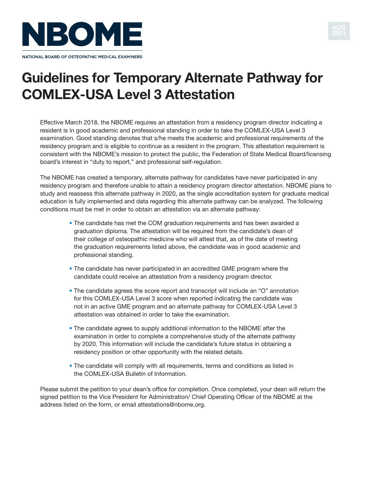



# **Guidelines for Temporary Alternate Pathway for COMlEX-uSA level 3 Attestation**

Effective March 2018, the NBOME requires an attestation from a residency program director indicating a resident is in good academic and professional standing in order to take the COMLEX-USA Level 3 examination. Good standing denotes that s/he meets the academic and professional requirements of the residency program and is eligible to continue as a resident in the program. This attestation requirement is consistent with the NBOME's mission to protect the public, the Federation of State Medical Board/licensing board's interest in "duty to report," and professional self-regulation.

The NBOME has created a temporary, alternate pathway for candidates have never participated in any residency program and therefore unable to attain a residency program director attestation. NBOME plans to study and reassess this alternate pathway in 2020, as the single accreditation system for graduate medical education is fully implemented and data regarding this alternate pathway can be analyzed. The following conditions must be met in order to obtain an attestation via an alternate pathway:

- The candidate has met the COM graduation requirements and has been awarded a graduation diploma. The attestation will be required from the candidate's dean of their college of osteopathic medicine who will attest that, as of the date of meeting the graduation requirements listed above, the candidate was in good academic and professional standing.
- The candidate has never participated in an accredited GME program where the candidate could receive an attestation from a residency program director.
- The candidate agrees the score report and transcript will include an "O" annotation for this COMLEX-USA Level 3 score when reported indicating the candidate was not in an active GME program and an alternate pathway for COMLEX-USA Level 3 attestation was obtained in order to take the examination.
- The candidate agrees to supply additional information to the NBOME after the examination in order to complete a comprehensive study of the alternate pathway by 2020. This information will include the candidate's future status in obtaining a residency position or other opportunity with the related details.
- The candidate will comply with all requirements, terms and conditions as listed in the COMLEX-USA Bulletin of Information.

Please submit the petition to your dean's office for completion. Once completed, your dean will return the signed petition to the Vice President for Administration/ Chief Operating Officer of the NBOME at the address listed on the form, or email attestations[@nbome.org.](mailto:attestations@nbome.org)